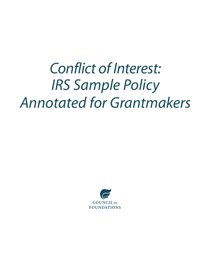## *Conflict of Interest: IRS Sample Policy Annotated for Grantmakers*

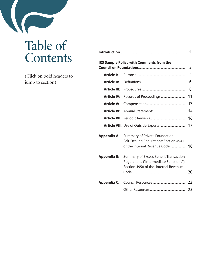## Table of **Contents**

(Click on bold headers to jump to section)

|                     |                                                                                                                                 | 1                       |
|---------------------|---------------------------------------------------------------------------------------------------------------------------------|-------------------------|
|                     | <b>IRS Sample Policy with Comments from the</b>                                                                                 | 3                       |
| <b>Article I:</b>   |                                                                                                                                 | $\overline{\mathbf{4}}$ |
| <b>Article II:</b>  |                                                                                                                                 | 6                       |
| <b>Article III:</b> |                                                                                                                                 | 8                       |
| Article IV:         |                                                                                                                                 | 11                      |
| <b>Article V:</b>   |                                                                                                                                 | 12                      |
| <b>Article VI:</b>  |                                                                                                                                 | 14                      |
|                     |                                                                                                                                 | 16                      |
|                     |                                                                                                                                 |                         |
| <b>Appendix A:</b>  | <b>Summary of Private Foundation</b><br>Self-Dealing Regulations: Section 4941<br>of the Internal Revenue Code                  | 18                      |
| <b>Appendix B:</b>  | <b>Summary of Excess Benefit Transaction</b><br>Regulations ("Intermediate Sanctions"):<br>Section 4958 of the Internal Revenue |                         |
| <b>Appendix C:</b>  |                                                                                                                                 |                         |
|                     |                                                                                                                                 |                         |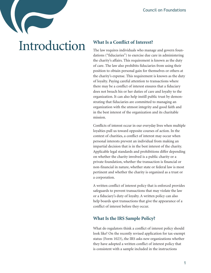## Introduction **What Is a Conflict of Interest?**

<span id="page-2-0"></span>The law requires individuals who manage and govern foundations ("fiduciaries") to exercise due care in administering the charity's affairs. This requirement is known as the duty of care. The law also prohibits fiduciaries from using their position to obtain personal gain for themselves or others at the charity's expense. This requirement is known as the duty of loyalty. Paying careful attention to transactions where there may be a conflict of interest ensures that a fiduciary does not breach his or her duties of care and loyalty to the organization. It can also help instill public trust by demonstrating that fiduciaries are committed to managing an organization with the utmost integrity and good faith and in the best interest of the organization and its charitable mission. Council on Foundations<br>
rest?<br>
manage and govern foun-<br>
due care in administering<br>
nent is known as the duty<br>
luciaries from using their<br>
for themselves or others at<br>
n to transactions as the duty<br>
n to transactions where<br>

Conflicts of interest occur in our everyday lives when multiple loyalties pull us toward opposite courses of action. In the context of charities, a conflict of interest may occur when personal interests prevent an individual from making an impartial decision that is in the best interest of the charity. Applicable legal standards and prohibitions differ depending on whether the charity involved is a public charity or a private foundation, whether the transaction is financial or non-financial in nature, whether state or federal law is most pertinent and whether the charity is organized as a trust or a corporation.

A written conflict of interest policy that is enforced provides safeguards to prevent transactions that may violate the law or a fiduciary's duty of loyalty. A written policy can also help boards spot transactions that give the appearance of a conflict of interest before they occur.

### **What Is the IRS Sample Policy?**

What do regulators think a conflict of interest policy should look like? On the recently revised application for tax-exempt status (Form 1023), the IRS asks new organizations whether they have adopted a written conflict of interest policy that is consistent with a sample included in the instructions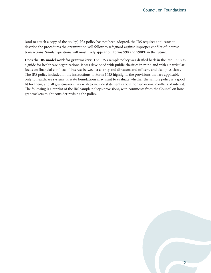(and to attach a copy of the policy). If a policy has not been adopted, the IRS requires applicants to describe the procedures the organization will follow to safeguard against improper conflict of interest transactions. Similar questions will most likely appear on Forms 990 and 990PF in the future.

**Does the IRS model work for grantmakers?** The IRS's sample policy was drafted back in the late 1990s as a guide for healthcare organizations. It was developed with public charities in mind and with a particular focus on financial conflicts of interest between a charity and directors and officers, and also physicians. The IRS policy included in the instructions to Form 1023 highlights the provisions that are applicable only to healthcare systems. Private foundations may want to evaluate whether the sample policy is a good fit for them, and all grantmakers may wish to include statements about non-economic conflicts of interest. The following is a reprint of the IRS sample policy's provisions, with comments from the Council on how grantmakers might consider revising the policy.

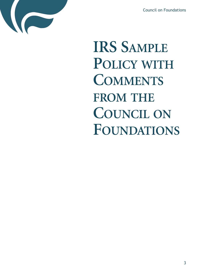

<span id="page-4-0"></span>**IRS SAMPLE POLICY WITH COMMENTS FROM THE COUNCIL ON FOUNDATIONS** Council on Foundations<br> **APLE<br>
WITH<br>
LE<br>
LON<br>
TIONS**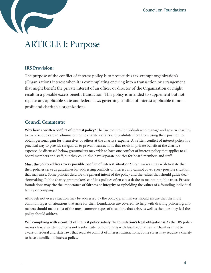

### ARTICLE I: Purpose

### **IRS Provision:**

<span id="page-5-0"></span>The purpose of the conflict of interest policy is to protect this tax-exempt organization's (Organization) interest when it is contemplating entering into a transaction or arrangement that might benefit the private interest of an officer or director of the Organization or might result in a possible excess benefit transaction. This policy is intended to supplement but not replace any applicable state and federal laws governing conflict of interest applicable to nonprofit and charitable organizations. Council on Foundations<br>
saction or arrangement<br>
Organization or might<br>
to supplement but not<br>
terest applicable to non-<br>
the supplement but not<br>
terest applicable to non-<br>
terest applicable to non-<br>
mom using their positio

### **Council Comments:**

**Why have a written conflict of interest policy?** The law requires individuals who manage and govern charities to exercise due care in administering the charity's affairs and prohibits them from using their position to obtain personal gain for themselves or others at the charity's expense. A written conflict of interest policy is a practical way to provide safeguards to prevent transactions that result in private benefit at the charity's expense. As discussed below, grantmakers may wish to have one conflict of interest policy that applies to all board members and staff, but they could also have separate policies for board members and staff.

**Must the policy address every possible conflict of interest situation?** Grantmakers may wish to state that their policies serve as guidelines for addressing conflicts of interest and cannot cover every possible situation that may arise. Some policies describe the general intent of the policy and the values that should guide decisionmaking. Public charity grantmakers' conflicts policies often cite a desire to maintain public trust. Private foundations may cite the importance of fairness or integrity or upholding the values of a founding individual family or company.

Although not every situation may be addressed by the policy, grantmakers should ensure that the most common types of situations that arise for their foundations are covered. To help with drafting policies, grantmakers should make a list of the most common types of situations that arise, as well as the ones they feel the policy should address.

**Will complying with a conflict of interest policy satisfy the foundation's legal obligations?** As the IRS policy makes clear, a written policy is not a substitute for complying with legal requirements. Charities must be aware of federal and state laws that regulate conflict of interest transactions. Some states may require a charity to have a conflict of interest policy.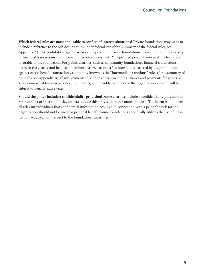**Which federal rules are most applicable to conflict of interest situations?** Private foundations may want to include a reference to the self-dealing rules under federal law (for a summary of the federal rules, see Appendix A). The prohibition against self-dealing precludes private foundations from entering into a variety of financial transactions (with some limited exceptions) with "disqualified persons"—even if the terms are favorable to the foundation. For public charities, such as community foundations, financial transactions between the charity and its board members—as well as other "insiders"—are covered by the prohibition against excess benefit transactions, commonly known as the "intermediate sanctions" rules (for a summary of the rules, see Appendix B). If any payments to such insiders—including salaries and payments for goods or services—exceed fair market value, the insiders, and possibly members of the organization's board, will be subject to penalty excise taxes. Council on Foundations<br>
e foundations may want to<br>
e federal rules, see<br>
crom entering into a variety<br>
s"—even if the terms are<br>
financial transactions<br>
red by the prohibition<br>
ms" rules (for a summary of<br>
nization's board

**Should the policy include a confidentiality provision?** Some charities include a confidentiality provision in their conflict of interest policies (others include this provision in personnel policies). The intent is to inform all relevant individuals that confidential information acquired in connection with a person's work for the organization should not be used for personal benefit. Some foundations specifically address the use of information acquired with respect to the foundation's investments.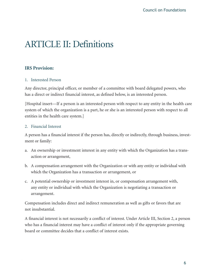## ARTICLE II: Definitions

### **IRS Provision:**

#### 1. Interested Person

Any director, principal officer, or member of a committee with board delegated powers, who has a direct or indirect financial interest, as defined below, is an interested person.

<span id="page-7-0"></span>[Hospital insert—If a person is an interested person with respect to any entity in the health care system of which the organization is a part, he or she is an interested person with respect to all entities in the health care system.] Council on Foundations<br>delegated powers, who<br>rested person.<br>any entity in the health c<br>person with respect to al<br>ly, through business, inve<br>e Organization has a tran.<br>entity or individual with<br>n arrangement with,<br>ng a tran

#### 2. Financial Interest

A person has a financial interest if the person has, directly or indirectly, through business, investment or family:

- a. An ownership or investment interest in any entity with which the Organization has a transaction or arrangement,
- b. A compensation arrangement with the Organization or with any entity or individual with which the Organization has a transaction or arrangement, or
- c. A potential ownership or investment interest in, or compensation arrangement with, any entity or individual with which the Organization is negotiating a transaction or arrangement.

Compensation includes direct and indirect remuneration as well as gifts or favors that are not insubstantial.

A financial interest is not necessarily a conflict of interest. Under Article III, Section 2, a person who has a financial interest may have a conflict of interest only if the appropriate governing board or committee decides that a conflict of interest exists.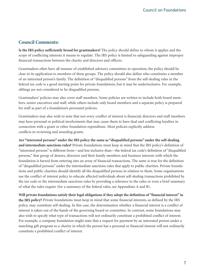### **Council Comments:**

**Is the IRS policy sufficiently broad for grantmakers?** The policy should define to whom it applies and the scope of conflicting interests it means to regulate. The IRS policy is limited to safeguarding against improper financial transactions between the charity and directors and officers.

Grantmakers often have all manner of established advisory committees in operation; the policy should be clear in its application to members of these groups. The policy should also define who constitutes a member of an interested person's family. The definition of "disqualified persons" from the self-dealing rules in the federal tax code is a good starting point for private foundations, but it may be underinclusive. For example, siblings are not considered to be disqualified persons.

Grantmakers' policies may also cover staff members. Some policies are written to include both board members, senior executives and staff, while others include only board members and a separate policy is prepared for staff as part of a foundation's personnel policies.

Grantmakers may also wish to note that not every conflict of interest is financial; directors and staff members may have personal or political involvements that may cause them to have dual and conflicting loyalties in connection with a grant or other foundation expenditure. Most policies explicitly address conflicts in reviewing and awarding grants.

**Are "interested persons" under the IRS policy the same as "disqualified persons" under the self-dealing and intermediate sanctions rules?** Private foundations must keep in mind that the IRS policy's definition of "interested persons" is different from—and less inclusive than—the federal tax code's definition of "disqualified persons," that group of donors, directors and their family members and business interests with which the foundation is barred from entering into an array of financial transactions. The same is true for the definition of "disqualified persons" under the intermediate sanctions rules that apply to public charities. Private foundations and public charities should identify all the disqualified persons in relation to them. Some organizations use the conflict of interest policy to educate affected individuals about self-dealing transactions prohibited by the tax code or the intermediate sanctions rules by providing a reference to the rules or even a brief summary of what the rules require (for a summary of the federal rules, see Appendixes A and B). Council on Foundations<br>whom it applies and the<br>guarding against improper<br>on; the policy should be<br>who constitutes a member<br>self-dealing rules in the<br>lerinclusive. For example,<br>include both board mem-<br>eparate policy is prep

**Will private foundations satisfy their legal obligations if they adopt the definition of "financial interest" in the IRS policy?** Private foundations must keep in mind that some financial interests, as defined by the IRS policy, may constitute self-dealing. In this case, the determination whether a financial interest is a conflict of interest is taken out of the hands of the governing board or committee. In contrast, some foundations may also wish to specify what type of transactions will not ordinarily constitute a prohibited conflict of interest. For example, a company foundation might state that a request for payment by an interested person under a matching gift program to a charity in which the person has a personal or financial interest will not ordinarily constitute a prohibited conflict of interest.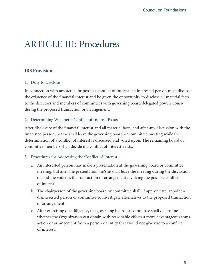## ARTICLE III: Procedures

### **IRS Provision:**

#### 1. Duty to Disclose

In connection with any actual or possible conflict of interest, an interested person must disclose the existence of the financial interest and be given the opportunity to disclose all material facts to the directors and members of committees with governing board delegated powers considering the proposed transaction or arrangement.

#### 2. Determining Whether a Conflict of Interest Exists

After disclosure of the financial interest and all material facts, and after any discussion with the interested person, he/she shall leave the governing board or committee meeting while the determination of a conflict of interest is discussed and voted upon. The remaining board or committee members shall decide if a conflict of interest exists.

#### 3. Procedures for Addressing the Conflict of Interest

- a. An interested person may make a presentation at the governing board or committee meeting, but after the presentation, he/she shall leave the meeting during the discussion of, and the vote on, the transaction or arrangement involving the possible conflict of interest.
- b. The chairperson of the governing board or committee shall, if appropriate, appoint a disinterested person or committee to investigate alternatives to the proposed transaction or arrangement.
- <span id="page-9-0"></span>c. After exercising due diligence, the governing board or committee shall determine whether the Organization can obtain with reasonable efforts a more advantageous transaction or arrangement from a person or entity that would not give rise to a conflict of interest. Council on Foundations<br>
o disclose all material factorizations<br>
o disclose all material factorization<br>
o disclose all material factorization<br>
of the meanining board or<br>
or the remaining board or<br>
or the remaining board or<br>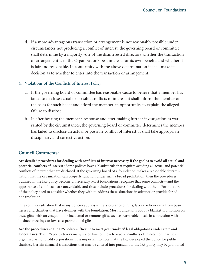d. If a more advantageous transaction or arrangement is not reasonably possible under circumstances not producing a conflict of interest, the governing board or committee shall determine by a majority vote of the disinterested directors whether the transaction or arrangement is in the Organization's best interest, for its own benefit, and whether it is fair and reasonable. In conformity with the above determination it shall make its decision as to whether to enter into the transaction or arrangement.

#### 4. Violations of the Conflicts of Interest Policy

- a. If the governing board or committee has reasonable cause to believe that a member has failed to disclose actual or possible conflicts of interest, it shall inform the member of the basis for such belief and afford the member an opportunity to explain the alleged failure to disclose.
- b. If, after hearing the member's response and after making further investigation as warranted by the circumstances, the governing board or committee determines the member has failed to disclose an actual or possible conflict of interest, it shall take appropriate disciplinary and corrective action.

### **Council Comments:**

**Are detailed procedures for dealing with conflicts of interest necessary if the goal is to avoid all actual and potential conflicts of interest?** Some policies have a blanket rule that requires avoiding all actual and potential conflicts of interest that are disclosed. If the governing board of a foundation makes a reasonable determination that the organization can properly function under such a broad prohibition, then the procedures outlined in the IRS policy become unnecessary. Most foundations recognize that some conflicts—and the appearance of conflicts—are unavoidable and thus include procedures for dealing with them. Formulators of the policy need to consider whether they wish to address these situations in advance or provide for ad hoc resolution. Council on Foundations<br>
aably possible under<br>
the the transaction<br>
benefit, and whether it<br>
on it shall make its<br>
ent.<br>
ieve that a member has<br>
form the member of<br>
co explain the alleged<br>
investigation as war-<br>
determines

One common situation that many policies address is the acceptance of gifts, favors or honoraria from businesses and charities that have dealings with the foundation. Most foundations adopt a blanket prohibition on these gifts, with an exception for incidental or tenuous gifts, such as reasonable meals in connection with business meetings or low-cost promotional gifts.

**Are the procedures in the IRS policy sufficient to meet grantmakers' legal obligations under state and federal laws?** The IRS policy tracks many states' laws on how to resolve conflicts of interest for charities organized as nonprofit corporations. It is important to note that the IRS developed the policy for public charities. Certain financial transactions that may be entered into pursuant to the IRS policy may be prohibited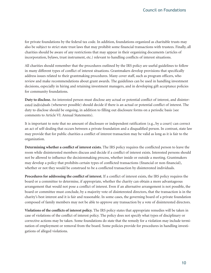for private foundations by the federal tax code. In addition, foundations organized as charitable trusts may also be subject to strict state trust laws that may prohibit some financial transactions with trustees. Finally, all charities should be aware of any restrictions that may appear in their organizing documents (articles of incorporation, bylaws, trust instrument, etc.) relevant to handling conflicts of interest situations.

All charities should remember that the procedures outlined by the IRS policy are useful guidelines to follow in many different types of conflict of interest situations. Grantmakers develop provisions that specifically address issues related to their grantmaking procedures. Many cover staff, such as program officers, who review and make recommendations about grant awards. The guidelines can be used in handling investment decisions, especially in hiring and retaining investment managers, and in developing gift acceptance policies for community foundations.

**Duty to disclose.** An interested person must disclose any actual or potential conflict of interest, and disinterested individuals (whenever possible) should decide if there is an actual or potential conflict of interest. The duty to disclose should be ongoing, in addition to filling out disclosure forms on a periodic basis (see comments to Article VI: Annual Statements).

It is important to note that no amount of disclosure or independent ratification (e.g., by a court) can correct an act of self-dealing that occurs between a private foundation and a disqualified person. In contrast, state law may provide that for public charities a conflict of interest transaction may be valid as long as it is fair to the organization.

**Determining whether a conflict of interest exists.** The IRS policy requires the conflicted person to leave the room while disinterested members discuss and decide if a conflict of interest exists. Interested persons should not be allowed to influence the decisionmaking process, whether inside or outside a meeting. Grantmakers may develop a policy that prohibits certain types of conflicted transactions (financial or non-financial), whether or not they would be construed to be a conflicted transaction by disinterested individuals.

**Procedures for addressing the conflict of interest.** If a conflict of interest exists, the IRS policy requires the board or a committee to determine, if appropriate, whether the charity can obtain a more advantageous arrangement that would not pose a conflict of interest. Even if an alternative arrangement is not possible, the board or committee must conclude, by a majority vote of disinterested directors, that the transaction is in the charity's best interest and it is fair and reasonable. In some cases, the governing board of a private foundation composed of family members may not be able to approve any transaction by a vote of disinterested directors.

**Violations of the conflicts of interest policy.** The IRS policy states that appropriate remedies will be taken in case of violations of the conflict of interest policy. The policy does not specify what types of disciplinary or corrective actions may be taken. Some foundations do state that the remedy for a violation may include termination of employment or removal from the board. Some policies provide for procedures in handling investigations of alleged violations.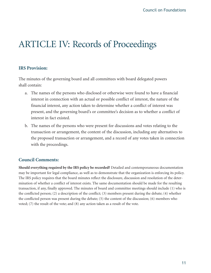### <span id="page-12-0"></span>ARTICLE IV: Records of Proceedings

### **IRS Provision:**

The minutes of the governing board and all committees with board delegated powers shall contain:

- a. The names of the persons who disclosed or otherwise were found to have a financial interest in connection with an actual or possible conflict of interest, the nature of the financial interest, any action taken to determine whether a conflict of interest was present, and the governing board's or committee's decision as to whether a conflict of interest in fact existed.
- b. The names of the persons who were present for discussions and votes relating to the transaction or arrangement, the content of the discussion, including any alternatives to the proposed transaction or arrangement, and a record of any votes taken in connection with the proceedings.

### **Council Comments:**

**Should everything required by the IRS policy be recorded?** Detailed and contemporaneous documentation may be important for legal compliance, as well as to demonstrate that the organization is enforcing its policy. The IRS policy requires that the board minutes reflect the disclosure, discussion and resolution of the determination of whether a conflict of interest exists. The same documentation should be made for the resulting transaction, if any, finally approved. The minutes of board and committee meetings should include (1) who is the conflicted person; (2) a description of the conflict; (3) members present during the debate; (4) whether the conflicted person was present during the debate; (5) the content of the discussion; (6) members who voted; (7) the result of the vote; and (8) any action taken as a result of the vote.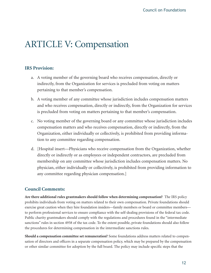### <span id="page-13-0"></span>ARTICLE V: Compensation

### **IRS Provision:**

- a. A voting member of the governing board who receives compensation, directly or indirectly, from the Organization for services is precluded from voting on matters pertaining to that member's compensation.
- b. A voting member of any committee whose jurisdiction includes compensation matters and who receives compensation, directly or indirectly, from the Organization for services is precluded from voting on matters pertaining to that member's compensation.
- c. No voting member of the governing board or any committee whose jurisdiction includes compensation matters and who receives compensation, directly or indirectly, from the Organization, either individually or collectively, is prohibited from providing information to any committee regarding compensation.
- d. [Hospital insert—Physicians who receive compensation from the Organization, whether directly or indirectly or as employees or independent contractors, are precluded from membership on any committee whose jurisdiction includes compensation matters. No physician, either individually or collectively, is prohibited from providing information to any committee regarding physician compensation.]

### **Council Comments:**

**Are there additional rules grantmakers should follow when determining compensation?** The IRS policy prohibits individuals from voting on matters related to their own compensation. Private foundations should exercise great caution when they hire foundation insiders—family members or board or committee members to perform professional services to ensure compliance with the self-dealing provisions of the federal tax code. Public charity grantmakers should comply with the regulations and procedures found in the "intermediate sanctions" rules in section 4958 of the tax code. To the extent possible, private foundations should also follow the procedures for determining compensation in the intermediate sanctions rules.

**Should a compensation committee set remuneration?** Some foundations address matters related to compensation of directors and officers in a separate compensation policy, which may be prepared by the compensation or other similar committee for adoption by the full board. The policy may include specific steps that the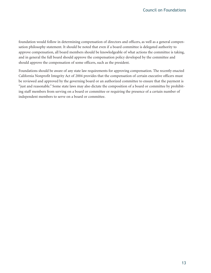foundation would follow in determining compensation of directors and officers, as well as a general compensation philosophy statement. It should be noted that even if a board committee is delegated authority to approve compensation, all board members should be knowledgeable of what actions the committee is taking, and in general the full board should approve the compensation policy developed by the committee and should approve the compensation of some officers, such as the president.

Foundations should be aware of any state law requirements for approving compensation. The recently enacted California Nonprofit Integrity Act of 2004 provides that the compensation of certain executive officers must be reviewed and approved by the governing board or an authorized committee to ensure that the payment is "just and reasonable." Some state laws may also dictate the composition of a board or committee by prohibiting staff members from serving on a board or committee or requiring the presence of a certain number of independent members to serve on a board or committee.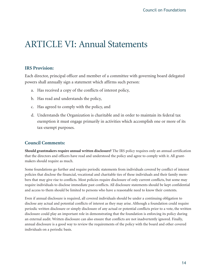### <span id="page-15-0"></span>ARTICLE VI: Annual Statements

### **IRS Provision:**

Each director, principal officer and member of a committee with governing board delegated powers shall annually sign a statement which affirms such person:

- a. Has received a copy of the conflicts of interest policy,
- b. Has read and understands the policy,
- c. Has agreed to comply with the policy, and
- d. Understands the Organization is charitable and in order to maintain its federal tax exemption it must engage primarily in activities which accomplish one or more of its tax-exempt purposes.

### **Council Comments:**

**Should grantmakers require annual written disclosure?** The IRS policy requires only an annual certification that the directors and officers have read and understood the policy and agree to comply with it. All grantmakers should require as much.

Some foundations go further and require periodic statements from individuals covered by conflict of interest policies that disclose the financial, vocational and charitable ties of these individuals and their family members that may give rise to conflicts. Most policies require disclosure of only current conflicts, but some may require individuals to disclose immediate past conflicts. All disclosure statements should be kept confidential and access to them should be limited to persons who have a reasonable need to know their contents.

Even if annual disclosure is required, all covered individuals should be under a continuing obligation to disclose any actual and potential conflicts of interest as they may arise. Although a foundation could require periodic written disclosure or simply disclosure of any actual or potential conflicts prior to a vote, the written disclosure could play an important role in demonstrating that the foundation is enforcing its policy during an external audit. Written disclosure can also ensure that conflicts are not inadvertently ignored. Finally, annual disclosure is a good way to review the requirements of the policy with the board and other covered individuals on a periodic basis.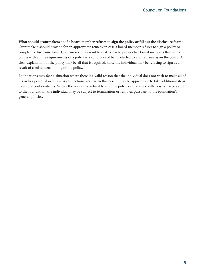**What should grantmakers do if a board member refuses to sign the policy or fill out the disclosure form?** Grantmakers should provide for an appropriate remedy in case a board member refuses to sign a policy or complete a disclosure form. Grantmakers may want to make clear to prospective board members that complying with all the requirements of a policy is a condition of being elected to and remaining on the board. A clear explanation of the policy may be all that is required, since the individual may be refusing to sign as a result of a misunderstanding of the policy.

Foundations may face a situation where there is a valid reason that the individual does not wish to make all of his or her personal or business connections known. In this case, it may be appropriate to take additional steps to ensure confidentiality. Where the reason for refusal to sign the policy or disclose conflicts is not acceptable to the foundation, the individual may be subject to termination or removal pursuant to the foundation's general policies.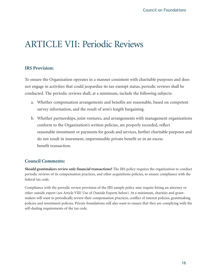### <span id="page-17-0"></span>ARTICLE VII: Periodic Reviews

### **IRS Provision:**

To ensure the Organization operates in a manner consistent with charitable purposes and does not engage in activities that could jeopardize its tax-exempt status, periodic reviews shall be conducted. The periodic reviews shall, at a minimum, include the following subjects:

- a. Whether compensation arrangements and benefits are reasonable, based on competent survey information, and the result of arm's length bargaining.
- b. Whether partnerships, joint ventures, and arrangements with management organizations conform to the Organization's written policies, are properly recorded, reflect reasonable investment or payments for goods and services, further charitable purposes and do not result in inurement, impermissible private benefit or in an excess benefit transaction.

### **Council Comments:**

**Should grantmakers review only financial transactions?** The IRS policy requires the organization to conduct periodic reviews of its compensation practices, and other acquisitions policies, to ensure compliance with the federal tax code.

Compliance with the periodic review provision of the IRS sample policy may require hiring an attorney or other outside expert (see Article VIII: Use of Outside Experts below). At a minimum, charities and grantmakers will want to periodically review their compensation practices, conflict of interest policies, grantmaking policies and investment policies. Private foundations will also want to ensure that they are complying with the self-dealing requirements of the tax code.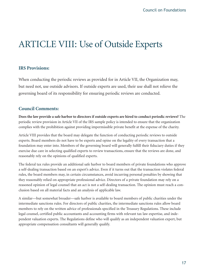### <span id="page-18-0"></span>ARTICLE VIII: Use of Outside Experts

### **IRS Provisions:**

When conducting the periodic reviews as provided for in Article VII, the Organization may, but need not, use outside advisors. If outside experts are used, their use shall not relieve the governing board of its responsibility for ensuring periodic reviews are conducted.

### **Council Comments:**

**Does the law provide a safe harbor to directors if outside experts are hired to conduct periodic reviews?** The periodic review provision in Article VII of the IRS sample policy is intended to ensure that the organization complies with the prohibition against providing impermissible private benefit at the expense of the charity.

Article VIII provides that the board may delegate the function of conducting periodic reviews to outside experts. Board members do not have to be experts and opine on the legality of every transaction that a foundation may enter into. Members of the governing board will generally fulfill their fiduciary duties if they exercise due care in selecting qualified experts to review transactions, ensure that the reviews are done, and reasonably rely on the opinions of qualified experts.

The federal tax rules provide an additional safe harbor to board members of private foundations who approve a self-dealing transaction based on an expert's advice. Even if it turns out that the transaction violates federal rules, the board members may, in certain circumstances, avoid incurring personal penalties by showing that they reasonably relied on appropriate professional advice. Directors of a private foundation may rely on a reasoned opinion of legal counsel that an act is not a self-dealing transaction. The opinion must reach a conclusion based on all material facts and an analysis of applicable law.

A similar—but somewhat broader—safe harbor is available to board members of public charities under the intermediate sanctions rules. For directors of public charities, the intermediate sanctions rules allow board members to rely on the written advice of professionals specified in the Treasury Regulations. These include legal counsel, certified public accountants and accounting firms with relevant tax law expertise, and independent valuation experts. The Regulations define who will qualify as an independent valuation expert, but appropriate compensation consultants will generally qualify.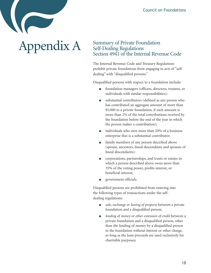# Appendix A

### Summary of Private Foundation Self-Dealing Regulations Section 4941 of the Internal Revenue Code

The Internal Revenue Code and Treasury Regulations prohibit private foundations from engaging in acts of "selfdealing" with "disqualified persons."

Disqualified persons with respect to a foundation include:

- foundation managers (officers, directors, trustees, or individuals with similar responsibilities);
- substantial contributors (defined as any person who has contributed an aggregate amount of more than \$5,000 to a private foundation, if such amount is more than 2% of the total contributions received by the foundation before the end of the year in which the person makes a contribution);
- individuals who own more than 20% of a business enterprise that is a substantial contributor;
- family members of any person described above (spouse, ancestors, lineal descendants and spouses of lineal descendants);
- corporations, partnerships, and trusts or estates in which a person described above owns more than 35% of the voting power, profits interest, or beneficial interest;
- government officials.

Disqualified persons are prohibited from entering into the following types of transactions under the selfdealing regulations:

- **■** *sale, exchange or leasing of property* between a private foundation and a disqualified person;
- *lending of money or other extension of credit* between a private foundation and a disqualified person, other than the lending of money by a disqualified person to the foundation without interest or other charge, so long as the loan proceeds are used exclusively for charitable purposes;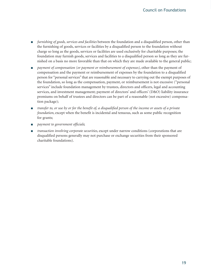- **■** *furnishing of goods, services and facilities* between the foundation and a disqualified person, other than the furnishing of goods, services or facilities by a disqualified person to the foundation without charge so long as the goods, services or facilities are used exclusively for charitable purposes; the foundation may furnish goods, services and facilities to a disqualified person so long as they are furnished on a basis no more favorable than that on which they are made available to the general public;
- **■** *payment of compensation (or payment or reimbursement of expenses)*, other than the payment of compensation and the payment or reimbursement of expenses by the foundation to a disqualified person for "personal services" that are reasonable and necessary to carrying out the exempt purposes of the foundation, so long as the compensation, payment, or reimbursement is not excessive ("personal services" include foundation management by trustees, directors and officers, legal and accounting services, and investment management; payment of directors' and officers' (D&O) liability insurance premiums on behalf of trustees and directors can be part of a reasonable (not excessive) compensation package);
- **■** *transfer to, or use by or for the benefit of, a disqualified person of the income or assets of a private foundation*, except when the benefit is incidental and tenuous, such as some public recognition for grants;
- **■** *payment to government officials*;
- *transaction involving corporate securities*, except under narrow conditions (corporations that are disqualified persons generally may not purchase or exchange securities from their sponsored charitable foundations).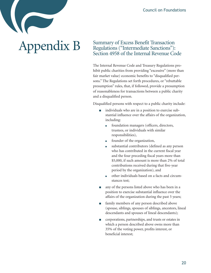## Appendix B

### <span id="page-21-0"></span>Summary of Excess Benefit Transaction Regulations ("Intermediate Sanctions"): Section 4958 of the Internal Revenue Code

The Internal Revenue Code and Treasury Regulations prohibit public charities from providing "excessive" (more than fair market value) economic benefits to "disqualified persons." The Regulations set forth procedures, or "rebuttable presumption" rules, that, if followed, provide a presumption of reasonableness for transactions between a public charity and a disqualified person.

Disqualified persons with respect to a public charity include:

- individuals who are in a position to exercise substantial influence over the affairs of the organization, including:
	- foundation managers (officers, directors, trustees, or individuals with similar responsibilities),
	- **■** founder of the organization,
	- **■** substantial contributors (defined as any person who has contributed in the current fiscal year and the four preceding fiscal years more than \$5,000, if such amount is more than 2% of total contributions received during that five-year period by the organization), and
	- **■** other individuals based on a facts and circumstances test;
- any of the persons listed above who has been in a position to exercise substantial influence over the affairs of the organization during the past 5 years;
- family members of any person described above (spouse, siblings, spouses of siblings, ancestors, lineal descendants and spouses of lineal descendants);
- corporations, partnerships, and trusts or estates in which a person described above owns more than 35% of the voting power, profits interest, or beneficial interest;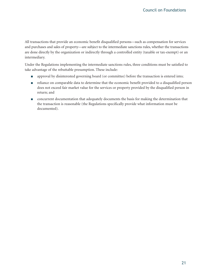All transactions that provide an economic benefit disqualified persons—such as compensation for services and purchases and sales of property—are subject to the intermediate sanctions rules, whether the transactions are done directly by the organization or indirectly through a controlled entity (taxable or tax-exempt) or an intermediary.

Under the Regulations implementing the intermediate sanctions rules, three conditions must be satisfied to take advantage of the rebuttable presumption. These include:

- approval by disinterested governing board (or committee) before the transaction is entered into;
- reliance on comparable data to determine that the economic benefit provided to a disqualified person does not exceed fair market value for the services or property provided by the disqualified person in return; and
- concurrent documentation that adequately documents the basis for making the determination that the transaction is reasonable (the Regulations specifically provide what information must be documented).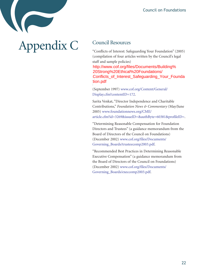## Appendix C

### <span id="page-23-0"></span>Council Resources

"Conflicts of Interest: Safeguarding Your Foundation" (2005) (compilation of four articles written by the Council's legal staff and sample policies)

[http://www.cof.org/files/Documents/Buildi](http://www.cof.org/files/Documents/Building%20Strong%20Ethical%20Foundations/Conflicts_of_Interest_Safeguaring_Your_Foundation.pdf)ng% [20Strong%20Ethical%](http://www.cof.org/files/Documents/Building%20Strong%20Ethical%20Foundations/Conflicts_of_Interest_Safeguaring_Your_Foundation.pdf)20Foundations/ [Conflicts\\_of\\_Interest\\_Safeguarding\\_Your\\_Founda](http://www.cof.org/files/Documents/Building%20Strong%20Ethical%20Foundations/Conflicts_of_Interest_Safeguarding_Your_Foundation.pdf) Members with Grantseekers," *Council Columns* tion.pdf

(September 1997) [www.cof.org/Content/General/](http://www.cof.org/Content/General/Display.cfm?contentID=172) [Display.cfm?contentID=172.](http://www.cof.org/Content/General/Display.cfm?contentID=172)

Sarita Venkat, "Director Independence and Charitable Contributions," *Foundation News & Commentary* (May/June 2005) [www.foundationnews.org/CME/](http://www.foundationnews.org/CME/article.cfm?id=3269&issueID=&authByte=60381&profileID=) [article.cfm?id=3269&issueID=&authByte=60381&profileID=.](http://www.foundationnews.org/CME/article.cfm?id=3269&issueID=&authByte=60381&profileID=)

"Determining Reasonable Compensation for Foundation Directors and Trustees" (a guidance memorandum from the Board of Directors of the Council on Foundations) (December 2002) [www.cof.org/files/Documents/](http://www.cof.org/files/Documents/Governing_Boards/trusteecomp2003.pdf) [Governing\\_Boards/trusteecomp2003.pdf.](http://www.cof.org/files/Documents/Governing_Boards/trusteecomp2003.pdf)

"Recommended Best Practices in Determining Reasonable Executive Compensation" (a guidance memorandum from the Board of Directors of the Council on Foundations) (December 2002) [www.cof.org/files/Documents/](http://www.cof.org/files/Documents/Governing_Boards/execcomp2003.pdf) [Governing\\_Boards/execcomp2003.pdf.](http://www.cof.org/files/Documents/Governing_Boards/execcomp2003.pdf)